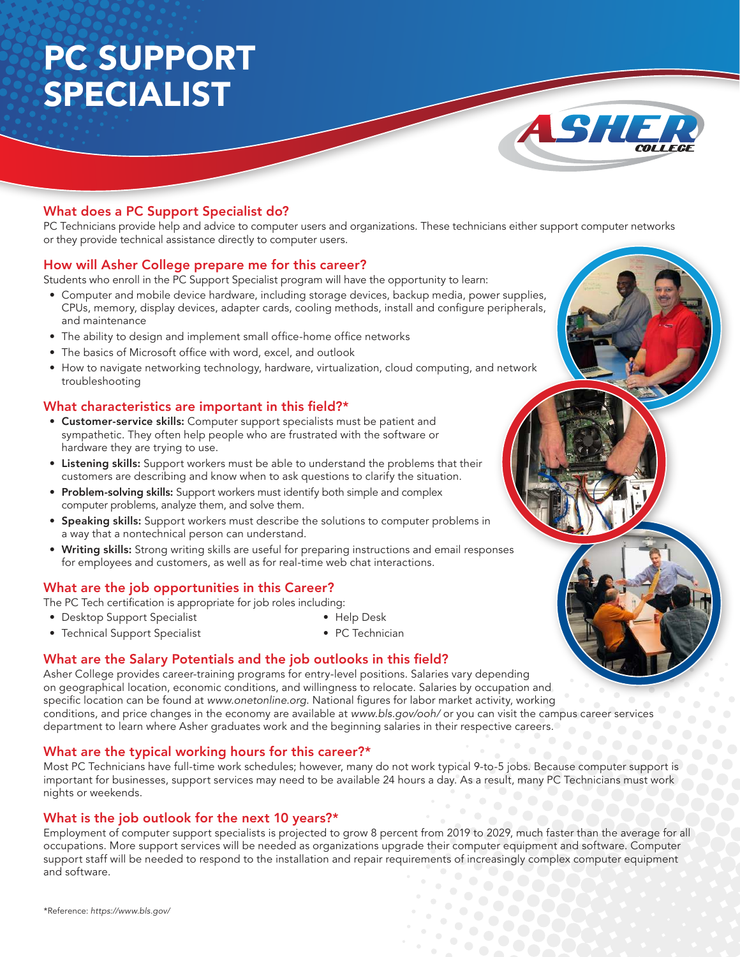# PC SUPPORT SPECIALIST



# What does a PC Support Specialist do?

PC Technicians provide help and advice to computer users and organizations. These technicians either support computer networks or they provide technical assistance directly to computer users.

#### How will Asher College prepare me for this career?

Students who enroll in the PC Support Specialist program will have the opportunity to learn:

- • Computer and mobile device hardware, including storage devices, backup media, power supplies, CPUs, memory, display devices, adapter cards, cooling methods, install and configure peripherals, and maintenance
- The ability to design and implement small office-home office networks
- The basics of Microsoft office with word, excel, and outlook
- How to navigate networking technology, hardware, virtualization, cloud computing, and network troubleshooting

## What characteristics are important in this field?\*

- Customer-service skills: Computer support specialists must be patient and sympathetic. They often help people who are frustrated with the software or hardware they are trying to use.
- Listening skills: Support workers must be able to understand the problems that their customers are describing and know when to ask questions to clarify the situation.
- Problem-solving skills: Support workers must identify both simple and complex computer problems, analyze them, and solve them.
- Speaking skills: Support workers must describe the solutions to computer problems in a way that a nontechnical person can understand.
- Writing skills: Strong writing skills are useful for preparing instructions and email responses for employees and customers, as well as for real-time web chat interactions.

## What are the job opportunities in this Career?

The PC Tech certification is appropriate for job roles including:

• Desktop Support Specialist

- • Help Desk
- Technical Support Specialist • PC Technician

## What are the Salary Potentials and the job outlooks in this field?

Asher College provides career-training programs for entry-level positions. Salaries vary depending on geographical location, economic conditions, and willingness to relocate. Salaries by occupation and specific location can be found at www.onetonline.org. National figures for labor market activity, working conditions, and price changes in the economy are available at www.bls.gov/ooh/ or you can visit the campus career services department to learn where Asher graduates work and the beginning salaries in their respective careers.

#### What are the typical working hours for this career?\*

Most PC Technicians have full-time work schedules; however, many do not work typical 9-to-5 jobs. Because computer support is important for businesses, support services may need to be available 24 hours a day. As a result, many PC Technicians must work nights or weekends.

#### What is the job outlook for the next 10 years?\*

Employment of computer support specialists is projected to grow 8 percent from 2019 to 2029, much faster than the average for all occupations. More support services will be needed as organizations upgrade their computer equipment and software. Computer support staff will be needed to respond to the installation and repair requirements of increasingly complex computer equipment and software.